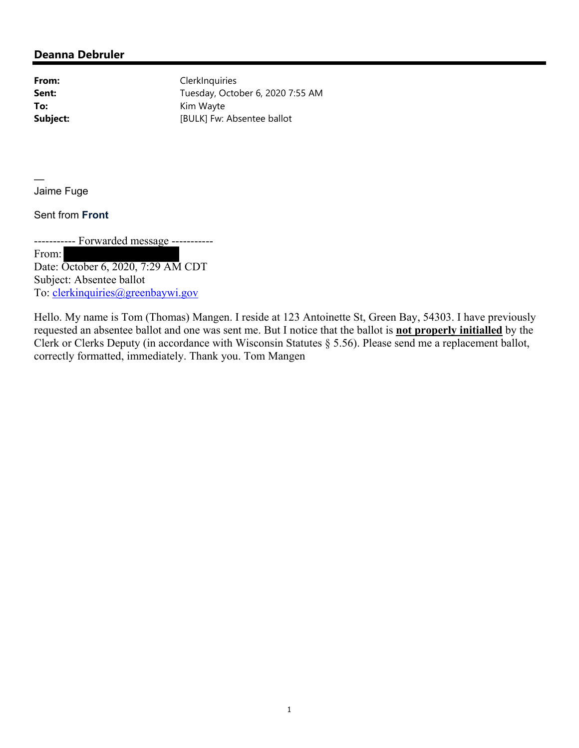## **Deanna Debruler**

From: ClerkInquiries **Sent:** Tuesday, October 6, 2020 7:55 AM **To:** Kim Wayte **Subject:** [BULK] Fw: Absentee ballot

— Jaime Fuge

Sent from **Front**

----------- Forwarded message -----------

From: Date: October 6, 2020, 7:29 AM CDT Subject: Absentee ballot To: clerkinquiries@greenbaywi.gov

Hello. My name is Tom (Thomas) Mangen. I reside at 123 Antoinette St, Green Bay, 54303. I have previously requested an absentee ballot and one was sent me. But I notice that the ballot is **not properly initialled** by the Clerk or Clerks Deputy (in accordance with Wisconsin Statutes § 5.56). Please send me a replacement ballot, correctly formatted, immediately. Thank you. Tom Mangen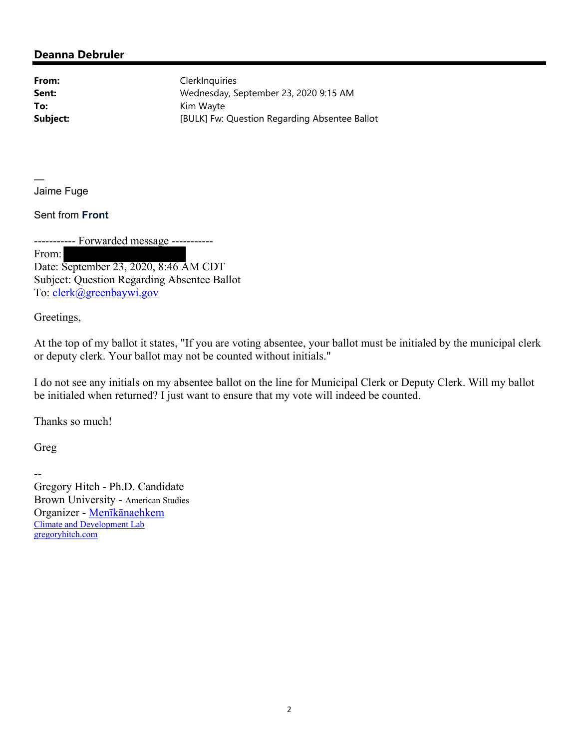## **Deanna Debruler**

From: ClerkInquiries **Sent:** Wednesday, September 23, 2020 9:15 AM **To:** Kim Wayte **Subject:** [BULK] Fw: Question Regarding Absentee Ballot

— Jaime Fuge

Sent from **Front**

----------- Forwarded message -----------

From:

Date: September 23, 2020, 8:46 AM CDT Subject: Question Regarding Absentee Ballot To: clerk@greenbaywi.gov

Greetings,

At the top of my ballot it states, "If you are voting absentee, your ballot must be initialed by the municipal clerk or deputy clerk. Your ballot may not be counted without initials."

I do not see any initials on my absentee ballot on the line for Municipal Clerk or Deputy Clerk. Will my ballot be initialed when returned? I just want to ensure that my vote will indeed be counted.

Thanks so much!

Greg

-- Gregory Hitch - Ph.D. Candidate Brown University - American Studies Organizer - Menīkānaehkem Climate and Development Lab gregoryhitch.com